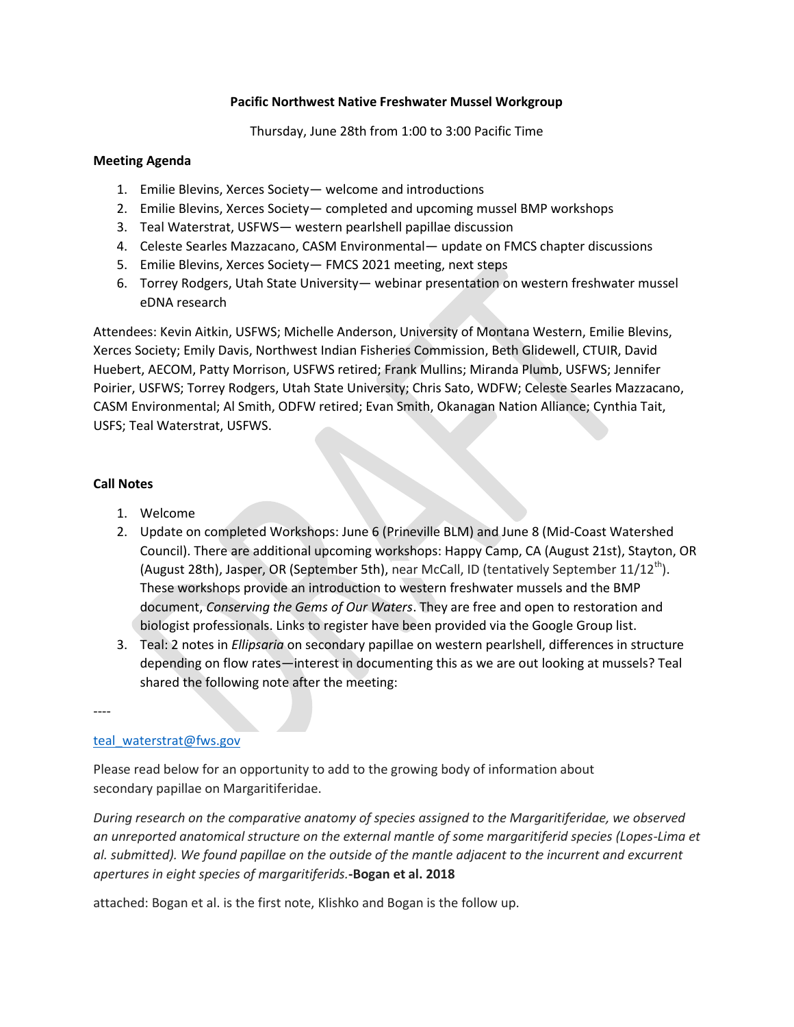## **Pacific Northwest Native Freshwater Mussel Workgroup**

Thursday, June 28th from 1:00 to 3:00 Pacific Time

## **Meeting Agenda**

- 1. Emilie Blevins, Xerces Society— welcome and introductions
- 2. Emilie Blevins, Xerces Society— completed and upcoming mussel BMP workshops
- 3. Teal Waterstrat, USFWS— western pearlshell papillae discussion
- 4. Celeste Searles Mazzacano, CASM Environmental— update on FMCS chapter discussions
- 5. Emilie Blevins, Xerces Society— FMCS 2021 meeting, next steps
- 6. Torrey Rodgers, Utah State University— webinar presentation on western freshwater mussel eDNA research

Attendees: Kevin Aitkin, USFWS; Michelle Anderson, University of Montana Western, Emilie Blevins, Xerces Society; Emily Davis, Northwest Indian Fisheries Commission, Beth Glidewell, CTUIR, David Huebert, AECOM, Patty Morrison, USFWS retired; Frank Mullins; Miranda Plumb, USFWS; Jennifer Poirier, USFWS; Torrey Rodgers, Utah State University; Chris Sato, WDFW; Celeste Searles Mazzacano, CASM Environmental; Al Smith, ODFW retired; Evan Smith, Okanagan Nation Alliance; Cynthia Tait, USFS; Teal Waterstrat, USFWS.

## **Call Notes**

- 1. Welcome
- 2. Update on completed Workshops: June 6 (Prineville BLM) and June 8 (Mid-Coast Watershed Council). There are additional upcoming workshops: Happy Camp, CA (August 21st), Stayton, OR (August 28th), Jasper, OR (September 5th), near McCall, ID (tentatively September  $11/12^{\text{th}}$ ). These workshops provide an introduction to western freshwater mussels and the BMP document, *Conserving the Gems of Our Waters*. They are free and open to restoration and biologist professionals. Links to register have been provided via the Google Group list.
- 3. Teal: 2 notes in *Ellipsaria* on secondary papillae on western pearlshell, differences in structure depending on flow rates—interest in documenting this as we are out looking at mussels? Teal shared the following note after the meeting:

----

## [teal\\_waterstrat@fws.gov](mailto:teal_waterstrat@fws.gov)

Please read below for an opportunity to add to the growing body of information about secondary papillae on Margaritiferidae.

*During research on the comparative anatomy of species assigned to the Margaritiferidae, we observed an unreported anatomical structure on the external mantle of some margaritiferid species (Lopes-Lima et al. submitted). We found papillae on the outside of the mantle adjacent to the incurrent and excurrent apertures in eight species of margaritiferids.***-Bogan et al. 2018**

attached: Bogan et al. is the first note, Klishko and Bogan is the follow up.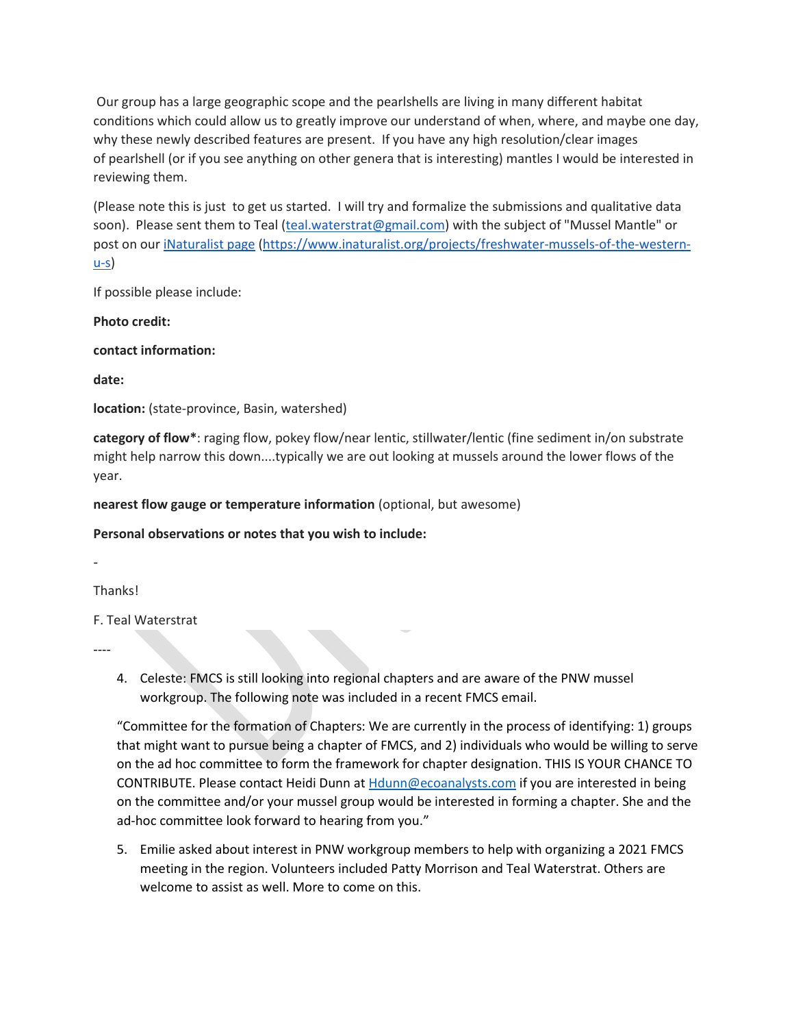Our group has a large geographic scope and the pearlshells are living in many different habitat conditions which could allow us to greatly improve our understand of when, where, and maybe one day, why these newly described features are present. If you have any high resolution/clear images of pearlshell (or if you see anything on other genera that is interesting) mantles I would be interested in reviewing them.

(Please note this is just to get us started. I will try and formalize the submissions and qualitative data soon). Please sent them to Teal [\(teal.waterstrat@gmail.com\)](mailto:teal.waterstrat@gmail.com) with the subject of "Mussel Mantle" or post on our [iNaturalist page](https://www.inaturalist.org/projects/freshwater-mussels-of-the-western-u-s) [\(https://www.inaturalist.org/projects/freshwater-mussels-of-the-western-](https://www.inaturalist.org/projects/freshwater-mussels-of-the-western-u-s) $-s$ </u>

If possible please include:

**Photo credit:**

**contact information:**

**date:**

**location:** (state-province, Basin, watershed)

**category of flow\***: raging flow, pokey flow/near lentic, stillwater/lentic (fine sediment in/on substrate might help narrow this down....typically we are out looking at mussels around the lower flows of the year.

**nearest flow gauge or temperature information** (optional, but awesome)

**Personal observations or notes that you wish to include:**

-

**Thanks!** 

F. Teal Waterstrat

----

4. Celeste: FMCS is still looking into regional chapters and are aware of the PNW mussel workgroup. The following note was included in a recent FMCS email.

"Committee for the formation of Chapters: We are currently in the process of identifying: 1) groups that might want to pursue being a chapter of FMCS, and 2) individuals who would be willing to serve on the ad hoc committee to form the framework for chapter designation. THIS IS YOUR CHANCE TO CONTRIBUTE. Please contact Heidi Dunn at [Hdunn@ecoanalysts.com](mailto:Hdunn@ecoanalysts.com) if you are interested in being on the committee and/or your mussel group would be interested in forming a chapter. She and the ad-hoc committee look forward to hearing from you."

5. Emilie asked about interest in PNW workgroup members to help with organizing a 2021 FMCS meeting in the region. Volunteers included Patty Morrison and Teal Waterstrat. Others are welcome to assist as well. More to come on this.